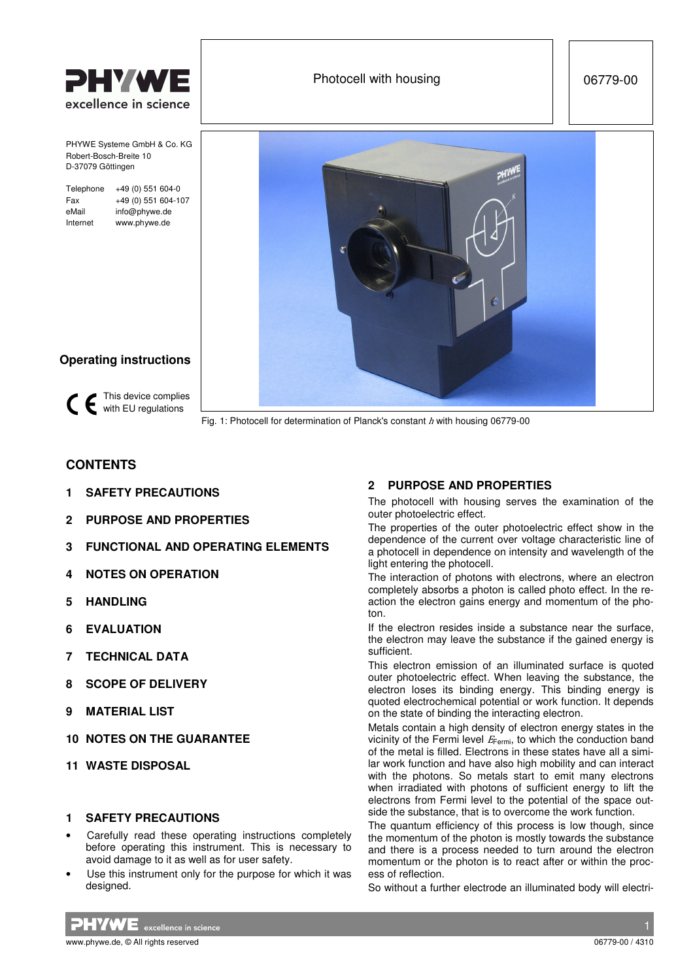

PHYWE Systeme GmbH & Co. KG Robert-Bosch-Breite 10 D-37079 Göttingen

Telephone +49 (0) 551 604-0 Fax +49 (0) 551 604-107 eMail info@phywe.de Internet www.phywe.de





## **Operating instructions**

This device complies CE with EU regulations

Fig. 1: Photocell for determination of Planck's constant  $h$  with housing 06779-00

# **CONTENTS**

- **1 SAFETY PRECAUTIONS**
- **2 PURPOSE AND PROPERTIES**
- **3 FUNCTIONAL AND OPERATING ELEMENTS**
- **4 NOTES ON OPERATION**
- **5 HANDLING**
- **6 EVALUATION**
- **7 TECHNICAL DATA**
- **8 SCOPE OF DELIVERY**
- **9 MATERIAL LIST**
- **10 NOTES ON THE GUARANTEE**
- **11 WASTE DISPOSAL**

### **1 SAFETY PRECAUTIONS**

- Carefully read these operating instructions completely before operating this instrument. This is necessary to avoid damage to it as well as for user safety.
- Use this instrument only for the purpose for which it was designed.

## **2 PURPOSE AND PROPERTIES**

The photocell with housing serves the examination of the outer photoelectric effect.

The properties of the outer photoelectric effect show in the dependence of the current over voltage characteristic line of a photocell in dependence on intensity and wavelength of the light entering the photocell.

The interaction of photons with electrons, where an electron completely absorbs a photon is called photo effect. In the reaction the electron gains energy and momentum of the photon.

If the electron resides inside a substance near the surface, the electron may leave the substance if the gained energy is sufficient.

This electron emission of an illuminated surface is quoted outer photoelectric effect. When leaving the substance, the electron loses its binding energy. This binding energy is quoted electrochemical potential or work function. It depends on the state of binding the interacting electron.

Metals contain a high density of electron energy states in the vicinity of the Fermi level  $E_{\text{Fermi}}$ , to which the conduction band of the metal is filled. Electrons in these states have all a similar work function and have also high mobility and can interact with the photons. So metals start to emit many electrons when irradiated with photons of sufficient energy to lift the electrons from Fermi level to the potential of the space outside the substance, that is to overcome the work function.

The quantum efficiency of this process is low though, since the momentum of the photon is mostly towards the substance and there is a process needed to turn around the electron momentum or the photon is to react after or within the process of reflection.

So without a further electrode an illuminated body will electri-

 $PHVWE$  excellence in science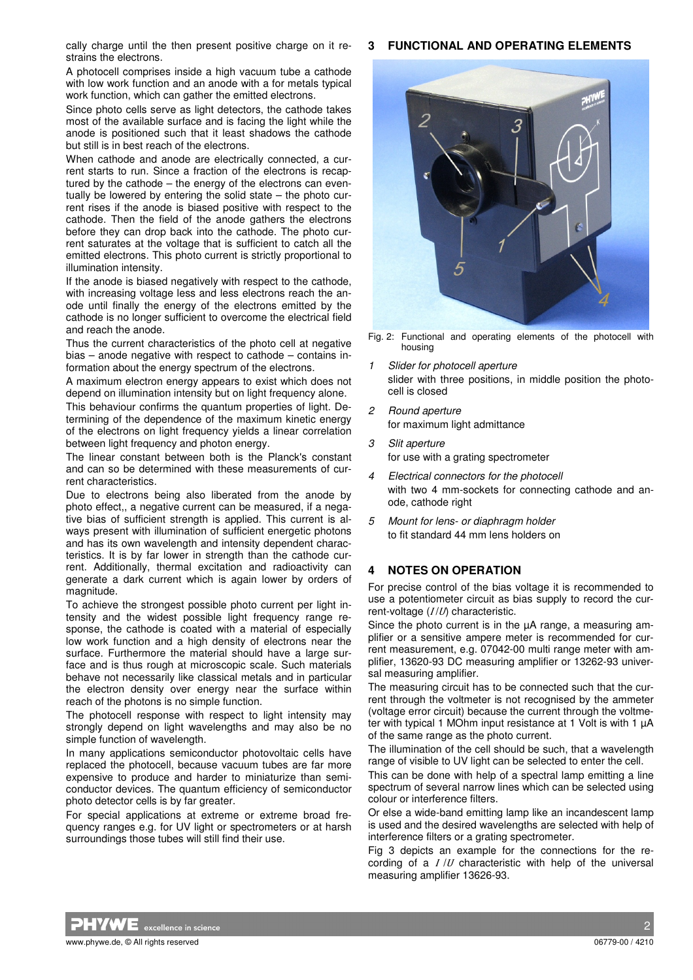#### **3 FUNCTIONAL AND OPERATING ELEMENTS**

cally charge until the then present positive charge on it restrains the electrons.

A photocell comprises inside a high vacuum tube a cathode with low work function and an anode with a for metals typical work function, which can gather the emitted electrons.

Since photo cells serve as light detectors, the cathode takes most of the available surface and is facing the light while the anode is positioned such that it least shadows the cathode but still is in best reach of the electrons.

When cathode and anode are electrically connected, a current starts to run. Since a fraction of the electrons is recaptured by the cathode – the energy of the electrons can eventually be lowered by entering the solid state – the photo current rises if the anode is biased positive with respect to the cathode. Then the field of the anode gathers the electrons before they can drop back into the cathode. The photo current saturates at the voltage that is sufficient to catch all the emitted electrons. This photo current is strictly proportional to illumination intensity.

If the anode is biased negatively with respect to the cathode, with increasing voltage less and less electrons reach the anode until finally the energy of the electrons emitted by the cathode is no longer sufficient to overcome the electrical field and reach the anode.

Thus the current characteristics of the photo cell at negative bias – anode negative with respect to cathode – contains information about the energy spectrum of the electrons.

A maximum electron energy appears to exist which does not depend on illumination intensity but on light frequency alone.

This behaviour confirms the quantum properties of light. Determining of the dependence of the maximum kinetic energy of the electrons on light frequency yields a linear correlation between light frequency and photon energy.

The linear constant between both is the Planck's constant and can so be determined with these measurements of current characteristics.

Due to electrons being also liberated from the anode by photo effect,, a negative current can be measured, if a negative bias of sufficient strength is applied. This current is always present with illumination of sufficient energetic photons and has its own wavelength and intensity dependent characteristics. It is by far lower in strength than the cathode current. Additionally, thermal excitation and radioactivity can generate a dark current which is again lower by orders of magnitude.

To achieve the strongest possible photo current per light intensity and the widest possible light frequency range response, the cathode is coated with a material of especially low work function and a high density of electrons near the surface. Furthermore the material should have a large surface and is thus rough at microscopic scale. Such materials behave not necessarily like classical metals and in particular the electron density over energy near the surface within reach of the photons is no simple function.

The photocell response with respect to light intensity may strongly depend on light wavelengths and may also be no simple function of wavelength.

In many applications semiconductor photovoltaic cells have replaced the photocell, because vacuum tubes are far more expensive to produce and harder to miniaturize than semiconductor devices. The quantum efficiency of semiconductor photo detector cells is by far greater.

For special applications at extreme or extreme broad frequency ranges e.g. for UV light or spectrometers or at harsh surroundings those tubes will still find their use.



Fig. 2: Functional and operating elements of the photocell with housing

- 1 Slider for photocell aperture slider with three positions, in middle position the photocell is closed
- 2 Round aperture for maximum light admittance
- 3 Slit aperture for use with a grating spectrometer
- 4 Electrical connectors for the photocell with two 4 mm-sockets for connecting cathode and anode, cathode right
- 5 Mount for lens- or diaphragm holder to fit standard 44 mm lens holders on

### **4 NOTES ON OPERATION**

For precise control of the bias voltage it is recommended to use a potentiometer circuit as bias supply to record the current-voltage  $(I/U)$  characteristic.

Since the photo current is in the  $\mu$ A range, a measuring amplifier or a sensitive ampere meter is recommended for current measurement, e.g. 07042-00 multi range meter with amplifier, 13620-93 DC measuring amplifier or 13262-93 universal measuring amplifier.

The measuring circuit has to be connected such that the current through the voltmeter is not recognised by the ammeter (voltage error circuit) because the current through the voltmeter with typical 1 MOhm input resistance at 1 Volt is with 1 µA of the same range as the photo current.

The illumination of the cell should be such, that a wavelength range of visible to UV light can be selected to enter the cell.

This can be done with help of a spectral lamp emitting a line spectrum of several narrow lines which can be selected using colour or interference filters.

Or else a wide-band emitting lamp like an incandescent lamp is used and the desired wavelengths are selected with help of interference filters or a grating spectrometer.

Fig 3 depicts an example for the connections for the recording of a  $I/U$  characteristic with help of the universal measuring amplifier 13626-93.

 $\blacktriangledown$   $\blacktriangledown$  excellence in science  $\blacktriangledown$  . The contract of the contract of the contract of the contract of the contract of the contract of the contract of the contract of the contract of the contract of the contract www.phywe.de. © All rights reserved 06779-00 / 4210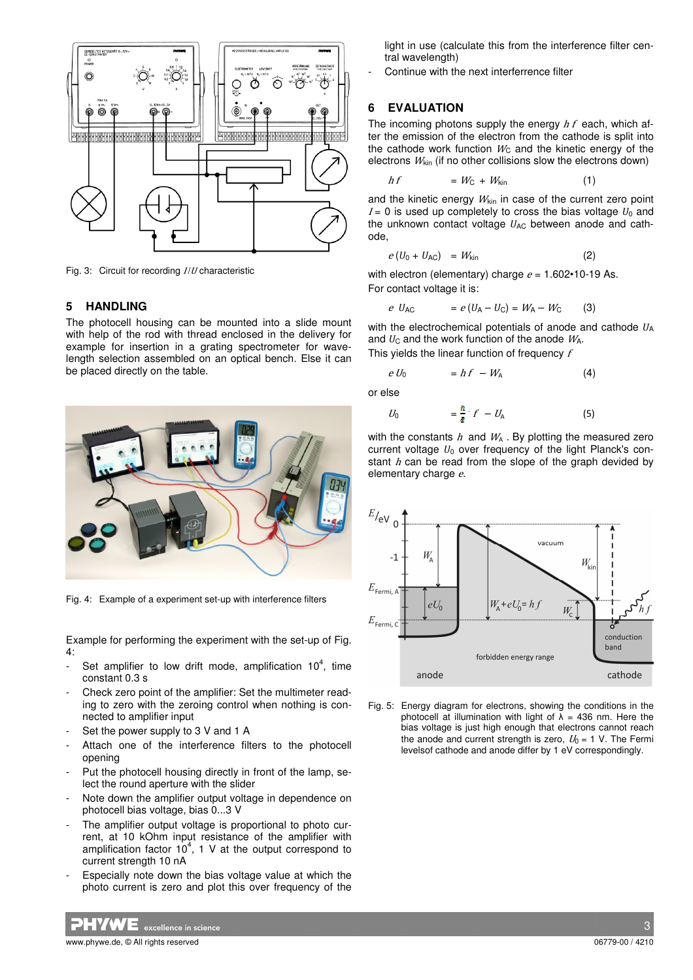

Fig. 3: Circuit for recording  $I/U$  characteristic

#### **5 HANDLING**

The photocell housing can be mounted into a slide mount with help of the rod with thread enclosed in the delivery for example for insertion in a grating spectrometer for wavelength selection assembled on an optical bench. Else it can be placed directly on the table.



Fig. 4: Example of a experiment set-up with interference filters

Example for performing the experiment with the set-up of Fig. 4:

- Set amplifier to low drift mode, amplification  $10^4$ , time constant 0.3 s
- Check zero point of the amplifier: Set the multimeter reading to zero with the zeroing control when nothing is connected to amplifier input
- Set the power supply to 3 V and 1 A
- Attach one of the interference filters to the photocell opening
- Put the photocell housing directly in front of the lamp, select the round aperture with the slider
- Note down the amplifier output voltage in dependence on photocell bias voltage, bias 0...3 V
- The amplifier output voltage is proportional to photo current, at 10 kOhm input resistance of the amplifier with amplification factor  $10^4$ , 1 V at the output correspond to current strength 10 nA
- Especially note down the bias voltage value at which the photo current is zero and plot this over frequency of the

light in use (calculate this from the interference filter central wavelength)

Continue with the next interferrence filter

#### **6 EVALUATION**

The incoming photons supply the energy  $hf$  each, which after the emission of the electron from the cathode is split into the cathode work function  $W<sub>C</sub>$  and the kinetic energy of the electrons  $W_{kin}$  (if no other collisions slow the electrons down)

$$
hf = W_{\rm C} + W_{\rm kin} \tag{1}
$$

and the kinetic energy  $W_{kin}$  in case of the current zero point  $I= 0$  is used up completely to cross the bias voltage  $U_0$  and the unknown contact voltage *U*<sub>AC</sub> between anode and cathode,

$$
e(U_0 + U_{AC}) = W_{kin}
$$
 (2)

with electron (elementary) charge  $e = 1.602 \cdot 10 \cdot 19$  As. For contact voltage it is:

$$
e U_{AC}
$$
 =  $e(U_A - U_C) = W_A - W_C$  (3)

with the electrochemical potentials of anode and cathode *U*A and  $U_{\rm C}$  and the work function of the anode  $W_{\rm A}$ .

This vields the linear function of frequency  $f$ 

$$
e U_0 = h f - W_A \tag{4}
$$

or else

$$
U_0 = \frac{R}{s} \cdot f - U_A \tag{5}
$$

with the constants  $h$  and  $W_A$ . By plotting the measured zero current voltage *U*<sub>0</sub> over frequency of the light Planck's constant  $h$  can be read from the slope of the graph devided by elementary charge e.



Fig. 5: Energy diagram for electrons, showing the conditions in the photocell at illumination with light of  $\lambda$  = 436 nm. Here the bias voltage is just high enough that electrons cannot reach the anode and current strength is zero,  $U_0 = 1$  V. The Fermi levelsof cathode and anode differ by 1 eV correspondingly.

 $\boldsymbol{W}\boldsymbol{\mathsf{E}}$  excellence in science

www.phywe.de. © All rights reserved 06779-00 / 4210